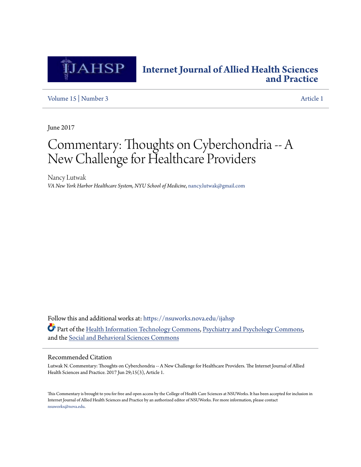

### **[Internet Journal of Allied Health Sciences](https://nsuworks.nova.edu/ijahsp?utm_source=nsuworks.nova.edu%2Fijahsp%2Fvol15%2Fiss3%2F1&utm_medium=PDF&utm_campaign=PDFCoverPages) [and Practice](https://nsuworks.nova.edu/ijahsp?utm_source=nsuworks.nova.edu%2Fijahsp%2Fvol15%2Fiss3%2F1&utm_medium=PDF&utm_campaign=PDFCoverPages)**

[Volume 15](https://nsuworks.nova.edu/ijahsp/vol15?utm_source=nsuworks.nova.edu%2Fijahsp%2Fvol15%2Fiss3%2F1&utm_medium=PDF&utm_campaign=PDFCoverPages) | [Number 3](https://nsuworks.nova.edu/ijahsp/vol15/iss3?utm_source=nsuworks.nova.edu%2Fijahsp%2Fvol15%2Fiss3%2F1&utm_medium=PDF&utm_campaign=PDFCoverPages) [Article 1](https://nsuworks.nova.edu/ijahsp/vol15/iss3/1?utm_source=nsuworks.nova.edu%2Fijahsp%2Fvol15%2Fiss3%2F1&utm_medium=PDF&utm_campaign=PDFCoverPages)

June 2017

# Commentary: Thoughts on Cyberchondria -- A New Challenge for Healthcare Providers

Nancy Lutwak *VA New York Harbor Healthcare System, NYU School of Medicine*, nancy.lutwak@gmail.com

Follow this and additional works at: [https://nsuworks.nova.edu/ijahsp](https://nsuworks.nova.edu/ijahsp?utm_source=nsuworks.nova.edu%2Fijahsp%2Fvol15%2Fiss3%2F1&utm_medium=PDF&utm_campaign=PDFCoverPages) Part of the [Health Information Technology Commons](http://network.bepress.com/hgg/discipline/1239?utm_source=nsuworks.nova.edu%2Fijahsp%2Fvol15%2Fiss3%2F1&utm_medium=PDF&utm_campaign=PDFCoverPages), [Psychiatry and Psychology Commons,](http://network.bepress.com/hgg/discipline/908?utm_source=nsuworks.nova.edu%2Fijahsp%2Fvol15%2Fiss3%2F1&utm_medium=PDF&utm_campaign=PDFCoverPages) and the [Social and Behavioral Sciences Commons](http://network.bepress.com/hgg/discipline/316?utm_source=nsuworks.nova.edu%2Fijahsp%2Fvol15%2Fiss3%2F1&utm_medium=PDF&utm_campaign=PDFCoverPages)

#### Recommended Citation

Lutwak N. Commentary: Thoughts on Cyberchondria -- A New Challenge for Healthcare Providers. The Internet Journal of Allied Health Sciences and Practice. 2017 Jun 29;15(3), Article 1.

This Commentary is brought to you for free and open access by the College of Health Care Sciences at NSUWorks. It has been accepted for inclusion in Internet Journal of Allied Health Sciences and Practice by an authorized editor of NSUWorks. For more information, please contact [nsuworks@nova.edu.](mailto:nsuworks@nova.edu)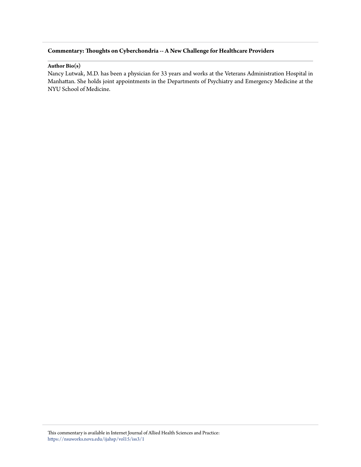#### **Commentary: Thoughts on Cyberchondria -- A New Challenge for Healthcare Providers**

#### **Author Bio(s)**

Nancy Lutwak, M.D. has been a physician for 33 years and works at the Veterans Administration Hospital in Manhattan. She holds joint appointments in the Departments of Psychiatry and Emergency Medicine at the NYU School of Medicine.

This commentary is available in Internet Journal of Allied Health Sciences and Practice: [https://nsuworks.nova.edu/ijahsp/vol15/iss3/1](https://nsuworks.nova.edu/ijahsp/vol15/iss3/1?utm_source=nsuworks.nova.edu%2Fijahsp%2Fvol15%2Fiss3%2F1&utm_medium=PDF&utm_campaign=PDFCoverPages)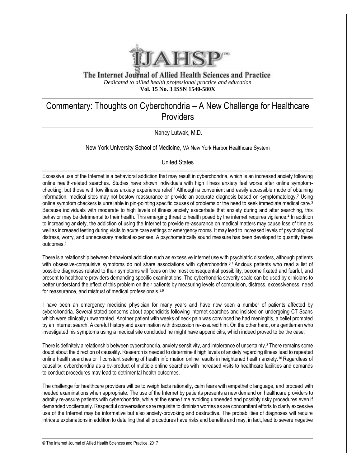

The Internet Journal of Allied Health Sciences and Practice *Dedicated to allied health professional practice and education* **Vol. 15 No. 3 ISSN 1540-580X**

## Commentary: Thoughts on Cyberchondria – A New Challenge for Healthcare **Providers**

Nancy Lutwak, M.D.

New York University School of Medicine, VA New York Harbor Healthcare System

#### United States

Excessive use of the Internet is a behavioral addiction that may result in cyberchondria, which is an increased anxiety following online health-related searches. Studies have shown individuals with high illness anxiety feel worse after online symptomchecking, but those with low illness anxiety experience relief.1 Although a convenient and easily accessible mode of obtaining information, medical sites may not bestow reassurance or provide an accurate diagnosis based on symptomatology.<sup>2</sup> Using online symptom checkers is unreliable in pin-pointing specific causes of problems or the need to seek immediate medical care.<sup>3</sup> Because individuals with moderate to high levels of illness anxiety exacerbate that anxiety during and after searching, this behavior may be detrimental to their health. This emerging threat to health posed by the internet requires vigilance.<sup>4</sup> In addition to increasing anxiety, the addiction of using the Internet to provide re-assurance on medical matters may cause loss of time as well as increased testing during visits to acute care settings or emergency rooms. It may lead to increased levels of psychological distress, worry, and unnecessary medical expenses. A psychometrically sound measure has been developed to quantify these outcomes.<sup>5</sup>

There is a relationship between behavioral addiction such as excessive internet use with psychiatric disorders, although patients with obsessive-compulsive symptoms do not share associations with cyberchondria.<sup>6,7</sup> Anxious patients who read a list of possible diagnoses related to their symptoms will focus on the most consequential possibility, become fixated and fearful, and present to healthcare providers demanding specific examinations. The cyberhondria severity scale can be used by clinicians to better understand the effect of this problem on their patients by measuring levels of compulsion, distress, excessiveness, need for reassurance, and mistrust of medical professionals.<sup>8,9</sup>

I have been an emergency medicine physician for many years and have now seen a number of patients affected by cyberchondria. Several stated concerns about appendicitis following internet searches and insisted on undergoing CT Scans which were clinically unwarranted. Another patient with weeks of neck pain was convinced he had meningitis, a belief prompted by an Internet search. A careful history and examination with discussion re-assured him. On the other hand, one gentleman who investigated his symptoms using a medical site concluded he might have appendicitis, which indeed proved to be the case.

There is definitely a relationship between cyberchondria, anxiety sensitivity, and intolerance of uncertainty.<sup>8</sup> There remains some doubt about the direction of causality. Research is needed to determine if high levels of anxiety regarding illness lead to repeated online health searches or if constant seeking of health information online results in heightened health anxiety.10 Regardless of causality, cyberchondria as a by-product of multiple online searches with increased visits to healthcare facilities and demands to conduct procedures may lead to detrimental health outcomes.

The challenge for healthcare providers will be to weigh facts rationally, calm fears with empathetic language, and proceed with needed examinations when appropriate. The use of the Internet by patients presents a new demand on healthcare providers to adroitly re-assure patients with cyberchondria, while at the same time avoiding unneeded and possibly risky procedures even if demanded vociferously. Respectful conversations are requisite to diminish worries as are concomitant efforts to clarify excessive use of the Internet may be informative but also anxiety-provoking and destructive. The probabilities of diagnoses will require intricate explanations in addition to detailing that all procedures have risks and benefits and may, in fact, lead to severe negative